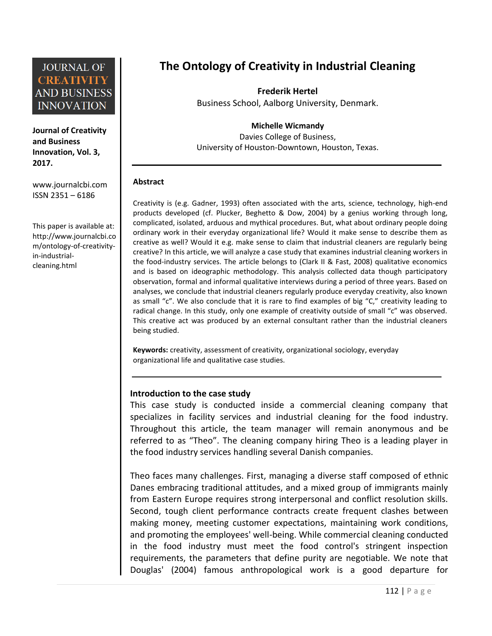**Journal of Creativity and Business Innovation, Vol. 3, 2017.**

[www.journalcbi.com](http://www.journalcbi.com/) ISSN 2351 – 6186

This paper is available at: [http://www.journalcbi.co](http://www.journalcbi.com/ideation-using-analogies.html) [m/ontology-of-creativity](http://www.journalcbi.com/ideation-using-analogies.html)[in-industrial](http://www.journalcbi.com/ideation-using-analogies.html)[cleaning.html](http://www.journalcbi.com/ideation-using-analogies.html)

# **The Ontology of Creativity in Industrial Cleaning**

**Frederik Hertel** Business School, Aalborg University, Denmark.

**Michelle Wicmandy**

Davies College of Business, University of Houston-Downtown, Houston, Texas.

#### **Abstract**

Creativity is (e.g. Gadner, 1993) often associated with the arts, science, technology, high-end products developed (cf. Plucker, Beghetto & Dow, 2004) by a genius working through long, complicated, isolated, arduous and mythical procedures. But, what about ordinary people doing ordinary work in their everyday organizational life? Would it make sense to describe them as creative as well? Would it e.g. make sense to claim that industrial cleaners are regularly being creative? In this article, we will analyze a case study that examines industrial cleaning workers in the food-industry services. The article belongs to (Clark II & Fast, 2008) qualitative economics and is based on ideographic methodology. This analysis collected data though participatory observation, formal and informal qualitative interviews during a period of three years. Based on analyses, we conclude that industrial cleaners regularly produce everyday creativity, also known as small "c". We also conclude that it is rare to find examples of big "C," creativity leading to radical change. In this study, only one example of creativity outside of small "c" was observed. This creative act was produced by an external consultant rather than the industrial cleaners being studied.

**Keywords:** creativity, assessment of creativity, organizational sociology, everyday organizational life and qualitative case studies.

### **Introduction to the case study**

This case study is conducted inside a commercial cleaning company that specializes in facility services and industrial cleaning for the food industry. Throughout this article, the team manager will remain anonymous and be referred to as "Theo". The cleaning company hiring Theo is a leading player in the food industry services handling several Danish companies.

Theo faces many challenges. First, managing a diverse staff composed of ethnic Danes embracing traditional attitudes, and a mixed group of immigrants mainly from Eastern Europe requires strong interpersonal and conflict resolution skills. Second, tough client performance contracts create frequent clashes between making money, meeting customer expectations, maintaining work conditions, and promoting the employees' well-being. While commercial cleaning conducted in the food industry must meet the food control's stringent inspection requirements, the parameters that define purity are negotiable. We note that Douglas' (2004) famous anthropological work is a good departure for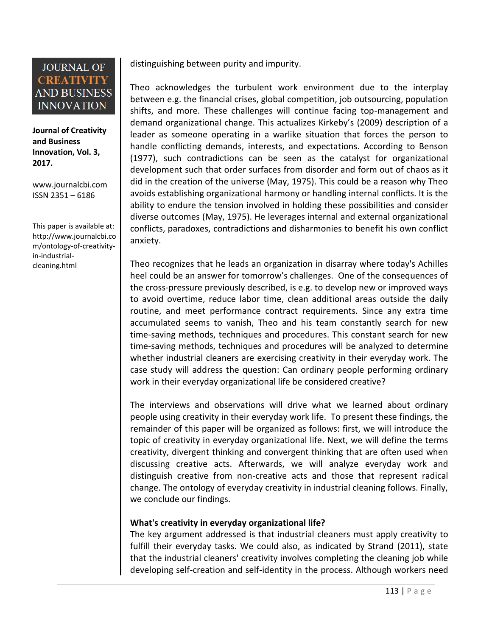**Journal of Creativity and Business Innovation, Vol. 3, 2017.**

[www.journalcbi.com](http://www.journalcbi.com/) ISSN 2351 – 6186

This paper is available at: [http://www.journalcbi.co](http://www.journalcbi.com/ideation-using-analogies.html) [m/ontology-of-creativity](http://www.journalcbi.com/ideation-using-analogies.html)[in-industrial](http://www.journalcbi.com/ideation-using-analogies.html)[cleaning.html](http://www.journalcbi.com/ideation-using-analogies.html)

distinguishing between purity and impurity.

Theo acknowledges the turbulent work environment due to the interplay between e.g. the financial crises, global competition, job outsourcing, population shifts, and more. These challenges will continue facing top-management and demand organizational change. This actualizes Kirkeby's (2009) description of a leader as someone operating in a warlike situation that forces the person to handle conflicting demands, interests, and expectations. According to Benson (1977), such contradictions can be seen as the catalyst for organizational development such that order surfaces from disorder and form out of chaos as it did in the creation of the universe (May, 1975). This could be a reason why Theo avoids establishing organizational harmony or handling internal conflicts. It is the ability to endure the tension involved in holding these possibilities and consider diverse outcomes (May, 1975). He leverages internal and external organizational conflicts, paradoxes, contradictions and disharmonies to benefit his own conflict anxiety.

Theo recognizes that he leads an organization in disarray where today's Achilles heel could be an answer for tomorrow's challenges. One of the consequences of the cross-pressure previously described, is e.g. to develop new or improved ways to avoid overtime, reduce labor time, clean additional areas outside the daily routine, and meet performance contract requirements. Since any extra time accumulated seems to vanish, Theo and his team constantly search for new time-saving methods, techniques and procedures. This constant search for new time-saving methods, techniques and procedures will be analyzed to determine whether industrial cleaners are exercising creativity in their everyday work. The case study will address the question: Can ordinary people performing ordinary work in their everyday organizational life be considered creative?

The interviews and observations will drive what we learned about ordinary people using creativity in their everyday work life. To present these findings, the remainder of this paper will be organized as follows: first, we will introduce the topic of creativity in everyday organizational life. Next, we will define the terms creativity, divergent thinking and convergent thinking that are often used when discussing creative acts. Afterwards, we will analyze everyday work and distinguish creative from non-creative acts and those that represent radical change. The ontology of everyday creativity in industrial cleaning follows. Finally, we conclude our findings.

### **What's creativity in everyday organizational life?**

The key argument addressed is that industrial cleaners must apply creativity to fulfill their everyday tasks. We could also, as indicated by Strand (2011), state that the industrial cleaners' creativity involves completing the cleaning job while developing self-creation and self-identity in the process. Although workers need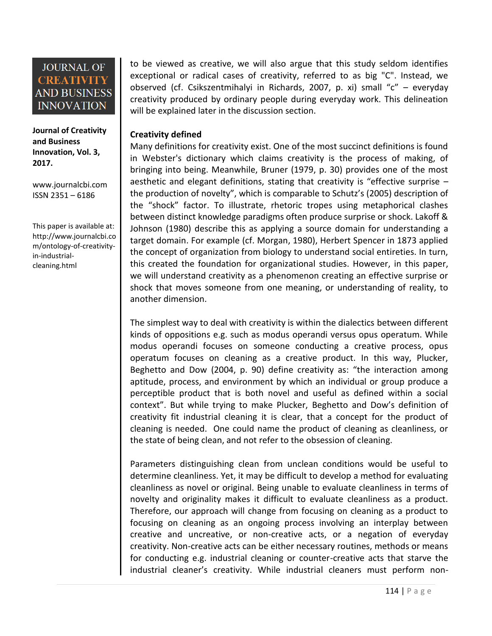#### **Journal of Creativity and Business Innovation, Vol. 3, 2017.**

[www.journalcbi.com](http://www.journalcbi.com/) ISSN 2351 – 6186

This paper is available at: [http://www.journalcbi.co](http://www.journalcbi.com/ideation-using-analogies.html) [m/ontology-of-creativity](http://www.journalcbi.com/ideation-using-analogies.html)[in-industrial](http://www.journalcbi.com/ideation-using-analogies.html)[cleaning.html](http://www.journalcbi.com/ideation-using-analogies.html)

to be viewed as creative, we will also argue that this study seldom identifies exceptional or radical cases of creativity, referred to as big "C". Instead, we observed (cf. Csikszentmihalyi in Richards, 2007, p. xi) small "c" – everyday creativity produced by ordinary people during everyday work. This delineation will be explained later in the discussion section.

### **Creativity defined**

Many definitions for creativity exist. One of the most succinct definitions is found in Webster's dictionary which claims creativity is the process of making, of bringing into being. Meanwhile, Bruner (1979, p. 30) provides one of the most aesthetic and elegant definitions, stating that creativity is "effective surprise – the production of novelty", which is comparable to Schutz's (2005) description of the "shock" factor. To illustrate, rhetoric tropes using metaphorical clashes between distinct knowledge paradigms often produce surprise or shock. Lakoff & Johnson (1980) describe this as applying a source domain for understanding a target domain. For example (cf. Morgan, 1980), Herbert Spencer in 1873 applied the concept of organization from biology to understand social entireties. In turn, this created the foundation for organizational studies. However, in this paper, we will understand creativity as a phenomenon creating an effective surprise or shock that moves someone from one meaning, or understanding of reality, to another dimension.

The simplest way to deal with creativity is within the dialectics between different kinds of oppositions e.g. such as modus operandi versus opus operatum. While modus operandi focuses on someone conducting a creative process, opus operatum focuses on cleaning as a creative product. In this way, Plucker, Beghetto and Dow (2004, p. 90) define creativity as: "the interaction among aptitude, process, and environment by which an individual or group produce a perceptible product that is both novel and useful as defined within a social context". But while trying to make Plucker, Beghetto and Dow's definition of creativity fit industrial cleaning it is clear, that a concept for the product of cleaning is needed. One could name the product of cleaning as cleanliness, or the state of being clean, and not refer to the obsession of cleaning.

Parameters distinguishing clean from unclean conditions would be useful to determine cleanliness. Yet, it may be difficult to develop a method for evaluating cleanliness as novel or original. Being unable to evaluate cleanliness in terms of novelty and originality makes it difficult to evaluate cleanliness as a product. Therefore, our approach will change from focusing on cleaning as a product to focusing on cleaning as an ongoing process involving an interplay between creative and uncreative, or non-creative acts, or a negation of everyday creativity. Non-creative acts can be either necessary routines, methods or means for conducting e.g. industrial cleaning or counter-creative acts that starve the industrial cleaner's creativity. While industrial cleaners must perform non-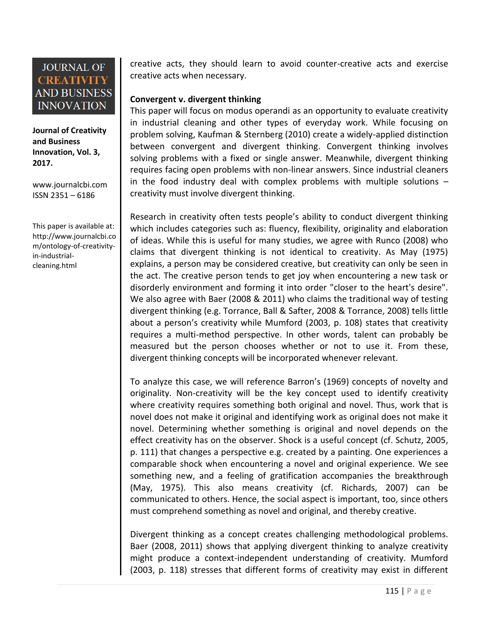**Journal of Creativity and Business Innovation, Vol. 3, 2017.**

[www.journalcbi.com](http://www.journalcbi.com/) ISSN 2351 – 6186

This paper is available at: [http://www.journalcbi.co](http://www.journalcbi.com/ideation-using-analogies.html) [m/ontology-of-creativity](http://www.journalcbi.com/ideation-using-analogies.html)[in-industrial](http://www.journalcbi.com/ideation-using-analogies.html)[cleaning.html](http://www.journalcbi.com/ideation-using-analogies.html)

creative acts, they should learn to avoid counter-creative acts and exercise creative acts when necessary.

### **Convergent v. divergent thinking**

This paper will focus on modus operandi as an opportunity to evaluate creativity in industrial cleaning and other types of everyday work. While focusing on problem solving, Kaufman & Sternberg (2010) create a widely-applied distinction between convergent and divergent thinking. Convergent thinking involves solving problems with a fixed or single answer. Meanwhile, divergent thinking requires facing open problems with non-linear answers. Since industrial cleaners in the food industry deal with complex problems with multiple solutions – creativity must involve divergent thinking.

Research in creativity often tests people's ability to conduct divergent thinking which includes categories such as: fluency, flexibility, originality and elaboration of ideas. While this is useful for many studies, we agree with Runco (2008) who claims that divergent thinking is not identical to creativity. As May (1975) explains, a person may be considered creative, but creativity can only be seen in the act. The creative person tends to get joy when encountering a new task or disorderly environment and forming it into order "closer to the heart's desire". We also agree with Baer (2008 & 2011) who claims the traditional way of testing divergent thinking (e.g. Torrance, Ball & Safter, 2008 & Torrance, 2008) tells little about a person's creativity while Mumford (2003, p. 108) states that creativity requires a multi-method perspective. In other words, talent can probably be measured but the person chooses whether or not to use it. From these, divergent thinking concepts will be incorporated whenever relevant.

To analyze this case, we will reference Barron's (1969) concepts of novelty and originality. Non-creativity will be the key concept used to identify creativity where creativity requires something both original and novel. Thus, work that is novel does not make it original and identifying work as original does not make it novel. Determining whether something is original and novel depends on the effect creativity has on the observer. Shock is a useful concept (cf. Schutz, 2005, p. 111) that changes a perspective e.g. created by a painting. One experiences a comparable shock when encountering a novel and original experience. We see something new, and a feeling of gratification accompanies the breakthrough (May, 1975). This also means creativity (cf. Richards, 2007) can be communicated to others. Hence, the social aspect is important, too, since others must comprehend something as novel and original, and thereby creative.

Divergent thinking as a concept creates challenging methodological problems. Baer (2008, 2011) shows that applying divergent thinking to analyze creativity might produce a context-independent understanding of creativity. Mumford (2003, p. 118) stresses that different forms of creativity may exist in different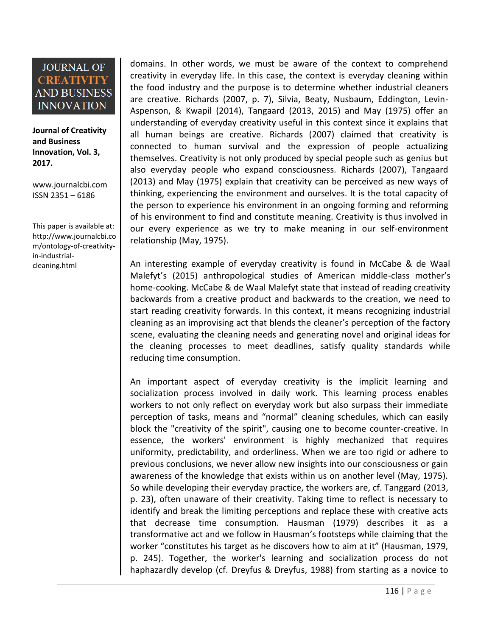**Journal of Creativity and Business Innovation, Vol. 3, 2017.**

[www.journalcbi.com](http://www.journalcbi.com/) ISSN 2351 – 6186

This paper is available at: [http://www.journalcbi.co](http://www.journalcbi.com/ideation-using-analogies.html) [m/ontology-of-creativity](http://www.journalcbi.com/ideation-using-analogies.html)[in-industrial](http://www.journalcbi.com/ideation-using-analogies.html)[cleaning.html](http://www.journalcbi.com/ideation-using-analogies.html)

domains. In other words, we must be aware of the context to comprehend creativity in everyday life. In this case, the context is everyday cleaning within the food industry and the purpose is to determine whether industrial cleaners are creative. Richards (2007, p. 7), Silvia, Beaty, Nusbaum, Eddington, Levin-Aspenson, & Kwapil (2014), Tangaard (2013, 2015) and May (1975) offer an understanding of everyday creativity useful in this context since it explains that all human beings are creative. Richards (2007) claimed that creativity is connected to human survival and the expression of people actualizing themselves. Creativity is not only produced by special people such as genius but also everyday people who expand consciousness. Richards (2007), Tangaard (2013) and May (1975) explain that creativity can be perceived as new ways of thinking, experiencing the environment and ourselves. It is the total capacity of the person to experience his environment in an ongoing forming and reforming of his environment to find and constitute meaning. Creativity is thus involved in our every experience as we try to make meaning in our self-environment relationship (May, 1975).

An interesting example of everyday creativity is found in McCabe & de Waal Malefyt's (2015) anthropological studies of American middle-class mother's home-cooking. McCabe & de Waal Malefyt state that instead of reading creativity backwards from a creative product and backwards to the creation, we need to start reading creativity forwards. In this context, it means recognizing industrial cleaning as an improvising act that blends the cleaner's perception of the factory scene, evaluating the cleaning needs and generating novel and original ideas for the cleaning processes to meet deadlines, satisfy quality standards while reducing time consumption.

An important aspect of everyday creativity is the implicit learning and socialization process involved in daily work. This learning process enables workers to not only reflect on everyday work but also surpass their immediate perception of tasks, means and "normal" cleaning schedules, which can easily block the "creativity of the spirit", causing one to become counter-creative. In essence, the workers' environment is highly mechanized that requires uniformity, predictability, and orderliness. When we are too rigid or adhere to previous conclusions, we never allow new insights into our consciousness or gain awareness of the knowledge that exists within us on another level (May, 1975). So while developing their everyday practice, the workers are, cf. Tanggard (2013, p. 23), often unaware of their creativity. Taking time to reflect is necessary to identify and break the limiting perceptions and replace these with creative acts that decrease time consumption. Hausman (1979) describes it as a transformative act and we follow in Hausman's footsteps while claiming that the worker "constitutes his target as he discovers how to aim at it" (Hausman, 1979, p. 245). Together, the worker's learning and socialization process do not haphazardly develop (cf. Dreyfus & Dreyfus, 1988) from starting as a novice to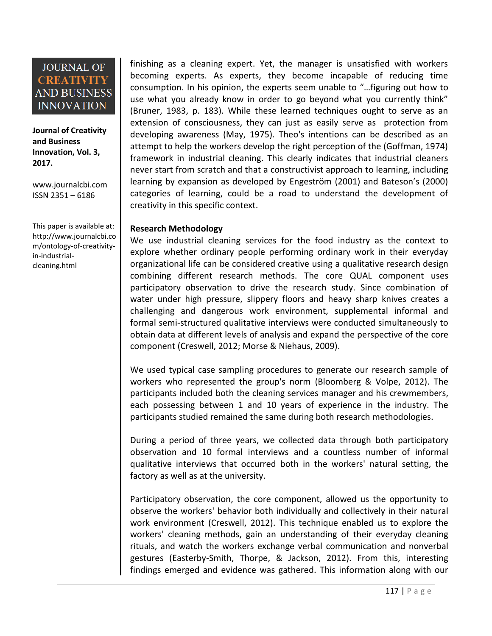**Journal of Creativity and Business Innovation, Vol. 3, 2017.**

[www.journalcbi.com](http://www.journalcbi.com/) ISSN 2351 – 6186

This paper is available at: [http://www.journalcbi.co](http://www.journalcbi.com/ideation-using-analogies.html) [m/ontology-of-creativity](http://www.journalcbi.com/ideation-using-analogies.html)[in-industrial](http://www.journalcbi.com/ideation-using-analogies.html)[cleaning.html](http://www.journalcbi.com/ideation-using-analogies.html)

finishing as a cleaning expert. Yet, the manager is unsatisfied with workers becoming experts. As experts, they become incapable of reducing time consumption. In his opinion, the experts seem unable to "…figuring out how to use what you already know in order to go beyond what you currently think" (Bruner, 1983, p. 183). While these learned techniques ought to serve as an extension of consciousness, they can just as easily serve as protection from developing awareness (May, 1975). Theo's intentions can be described as an attempt to help the workers develop the right perception of the (Goffman, 1974) framework in industrial cleaning. This clearly indicates that industrial cleaners never start from scratch and that a constructivist approach to learning, including learning by expansion as developed by Engeström (2001) and Bateson's (2000) categories of learning, could be a road to understand the development of creativity in this specific context.

#### **Research Methodology**

We use industrial cleaning services for the food industry as the context to explore whether ordinary people performing ordinary work in their everyday organizational life can be considered creative using a qualitative research design combining different research methods. The core QUAL component uses participatory observation to drive the research study. Since combination of water under high pressure, slippery floors and heavy sharp knives creates a challenging and dangerous work environment, supplemental informal and formal semi-structured qualitative interviews were conducted simultaneously to obtain data at different levels of analysis and expand the perspective of the core component (Creswell, 2012; Morse & Niehaus, 2009).

We used typical case sampling procedures to generate our research sample of workers who represented the group's norm (Bloomberg & Volpe, 2012). The participants included both the cleaning services manager and his crewmembers, each possessing between 1 and 10 years of experience in the industry. The participants studied remained the same during both research methodologies.

During a period of three years, we collected data through both participatory observation and 10 formal interviews and a countless number of informal qualitative interviews that occurred both in the workers' natural setting, the factory as well as at the university.

Participatory observation, the core component, allowed us the opportunity to observe the workers' behavior both individually and collectively in their natural work environment (Creswell, 2012). This technique enabled us to explore the workers' cleaning methods, gain an understanding of their everyday cleaning rituals, and watch the workers exchange verbal communication and nonverbal gestures (Easterby-Smith, Thorpe, & Jackson, 2012). From this, interesting findings emerged and evidence was gathered. This information along with our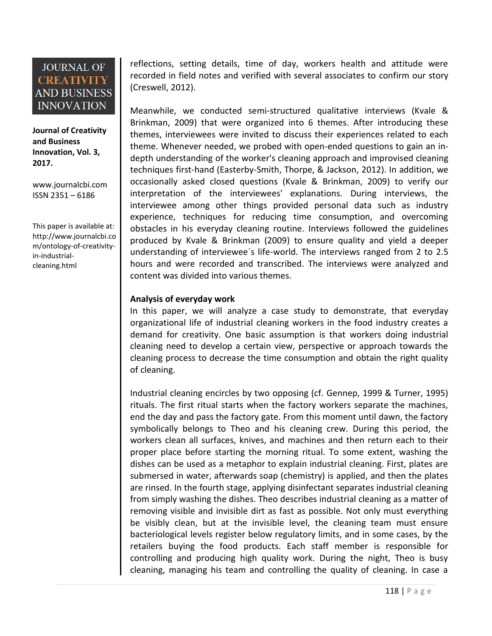**Journal of Creativity and Business Innovation, Vol. 3, 2017.**

[www.journalcbi.com](http://www.journalcbi.com/) ISSN 2351 – 6186

This paper is available at: [http://www.journalcbi.co](http://www.journalcbi.com/ideation-using-analogies.html) [m/ontology-of-creativity](http://www.journalcbi.com/ideation-using-analogies.html)[in-industrial](http://www.journalcbi.com/ideation-using-analogies.html)[cleaning.html](http://www.journalcbi.com/ideation-using-analogies.html)

reflections, setting details, time of day, workers health and attitude were recorded in field notes and verified with several associates to confirm our story (Creswell, 2012).

Meanwhile, we conducted semi-structured qualitative interviews (Kvale & Brinkman, 2009) that were organized into 6 themes. After introducing these themes, interviewees were invited to discuss their experiences related to each theme. Whenever needed, we probed with open-ended questions to gain an indepth understanding of the worker's cleaning approach and improvised cleaning techniques first-hand (Easterby-Smith, Thorpe, & Jackson, 2012). In addition, we occasionally asked closed questions (Kvale & Brinkman, 2009) to verify our interpretation of the interviewees' explanations. During interviews, the interviewee among other things provided personal data such as industry experience, techniques for reducing time consumption, and overcoming obstacles in his everyday cleaning routine. Interviews followed the guidelines produced by Kvale & Brinkman (2009) to ensure quality and yield a deeper understanding of interviewee´s life-world. The interviews ranged from 2 to 2.5 hours and were recorded and transcribed. The interviews were analyzed and content was divided into various themes.

### **Analysis of everyday work**

In this paper, we will analyze a case study to demonstrate, that everyday organizational life of industrial cleaning workers in the food industry creates a demand for creativity. One basic assumption is that workers doing industrial cleaning need to develop a certain view, perspective or approach towards the cleaning process to decrease the time consumption and obtain the right quality of cleaning.

Industrial cleaning encircles by two opposing (cf. Gennep, 1999 & Turner, 1995) rituals. The first ritual starts when the factory workers separate the machines, end the day and pass the factory gate. From this moment until dawn, the factory symbolically belongs to Theo and his cleaning crew. During this period, the workers clean all surfaces, knives, and machines and then return each to their proper place before starting the morning ritual. To some extent, washing the dishes can be used as a metaphor to explain industrial cleaning. First, plates are submersed in water, afterwards soap (chemistry) is applied, and then the plates are rinsed. In the fourth stage, applying disinfectant separates industrial cleaning from simply washing the dishes. Theo describes industrial cleaning as a matter of removing visible and invisible dirt as fast as possible. Not only must everything be visibly clean, but at the invisible level, the cleaning team must ensure bacteriological levels register below regulatory limits, and in some cases, by the retailers buying the food products. Each staff member is responsible for controlling and producing high quality work. During the night, Theo is busy cleaning, managing his team and controlling the quality of cleaning. In case a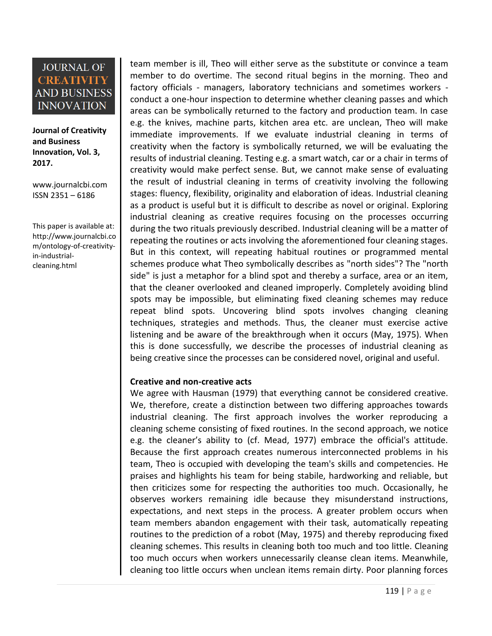**Journal of Creativity and Business Innovation, Vol. 3, 2017.**

[www.journalcbi.com](http://www.journalcbi.com/) ISSN 2351 – 6186

This paper is available at: [http://www.journalcbi.co](http://www.journalcbi.com/ideation-using-analogies.html) [m/ontology-of-creativity](http://www.journalcbi.com/ideation-using-analogies.html)[in-industrial](http://www.journalcbi.com/ideation-using-analogies.html)[cleaning.html](http://www.journalcbi.com/ideation-using-analogies.html)

team member is ill, Theo will either serve as the substitute or convince a team member to do overtime. The second ritual begins in the morning. Theo and factory officials - managers, laboratory technicians and sometimes workers conduct a one-hour inspection to determine whether cleaning passes and which areas can be symbolically returned to the factory and production team. In case e.g. the knives, machine parts, kitchen area etc. are unclean, Theo will make immediate improvements. If we evaluate industrial cleaning in terms of creativity when the factory is symbolically returned, we will be evaluating the results of industrial cleaning. Testing e.g. a smart watch, car or a chair in terms of creativity would make perfect sense. But, we cannot make sense of evaluating the result of industrial cleaning in terms of creativity involving the following stages: fluency, flexibility, originality and elaboration of ideas. Industrial cleaning as a product is useful but it is difficult to describe as novel or original. Exploring industrial cleaning as creative requires focusing on the processes occurring during the two rituals previously described. Industrial cleaning will be a matter of repeating the routines or acts involving the aforementioned four cleaning stages. But in this context, will repeating habitual routines or programmed mental schemes produce what Theo symbolically describes as "north sides"? The "north side" is just a metaphor for a blind spot and thereby a surface, area or an item, that the cleaner overlooked and cleaned improperly. Completely avoiding blind spots may be impossible, but eliminating fixed cleaning schemes may reduce repeat blind spots. Uncovering blind spots involves changing cleaning techniques, strategies and methods. Thus, the cleaner must exercise active listening and be aware of the breakthrough when it occurs (May, 1975). When this is done successfully, we describe the processes of industrial cleaning as being creative since the processes can be considered novel, original and useful.

### **Creative and non-creative acts**

We agree with Hausman (1979) that everything cannot be considered creative. We, therefore, create a distinction between two differing approaches towards industrial cleaning. The first approach involves the worker reproducing a cleaning scheme consisting of fixed routines. In the second approach, we notice e.g. the cleaner's ability to (cf. Mead, 1977) embrace the official's attitude. Because the first approach creates numerous interconnected problems in his team, Theo is occupied with developing the team's skills and competencies. He praises and highlights his team for being stabile, hardworking and reliable, but then criticizes some for respecting the authorities too much. Occasionally, he observes workers remaining idle because they misunderstand instructions, expectations, and next steps in the process. A greater problem occurs when team members abandon engagement with their task, automatically repeating routines to the prediction of a robot (May, 1975) and thereby reproducing fixed cleaning schemes. This results in cleaning both too much and too little. Cleaning too much occurs when workers unnecessarily cleanse clean items. Meanwhile, cleaning too little occurs when unclean items remain dirty. Poor planning forces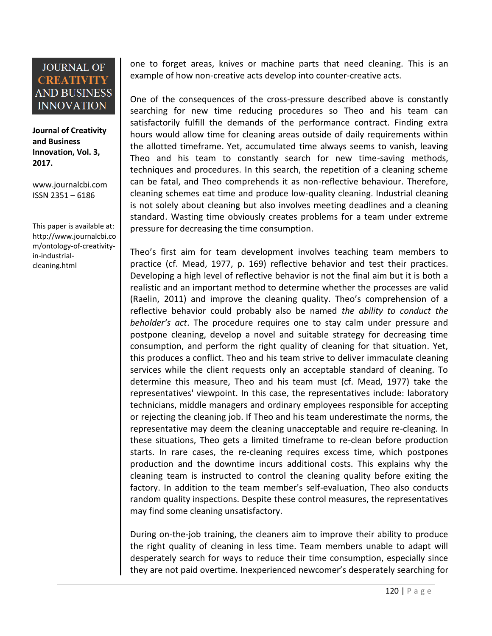**Journal of Creativity and Business Innovation, Vol. 3, 2017.**

[www.journalcbi.com](http://www.journalcbi.com/) ISSN 2351 – 6186

This paper is available at: [http://www.journalcbi.co](http://www.journalcbi.com/ideation-using-analogies.html) [m/ontology-of-creativity](http://www.journalcbi.com/ideation-using-analogies.html)[in-industrial](http://www.journalcbi.com/ideation-using-analogies.html)[cleaning.html](http://www.journalcbi.com/ideation-using-analogies.html)

one to forget areas, knives or machine parts that need cleaning. This is an example of how non-creative acts develop into counter-creative acts.

One of the consequences of the cross-pressure described above is constantly searching for new time reducing procedures so Theo and his team can satisfactorily fulfill the demands of the performance contract. Finding extra hours would allow time for cleaning areas outside of daily requirements within the allotted timeframe. Yet, accumulated time always seems to vanish, leaving Theo and his team to constantly search for new time-saving methods, techniques and procedures. In this search, the repetition of a cleaning scheme can be fatal, and Theo comprehends it as non-reflective behaviour. Therefore, cleaning schemes eat time and produce low-quality cleaning. Industrial cleaning is not solely about cleaning but also involves meeting deadlines and a cleaning standard. Wasting time obviously creates problems for a team under extreme pressure for decreasing the time consumption.

Theo's first aim for team development involves teaching team members to practice (cf. Mead, 1977, p. 169) reflective behavior and test their practices. Developing a high level of reflective behavior is not the final aim but it is both a realistic and an important method to determine whether the processes are valid (Raelin, 2011) and improve the cleaning quality. Theo's comprehension of a reflective behavior could probably also be named *the ability to conduct the beholder's act*. The procedure requires one to stay calm under pressure and postpone cleaning, develop a novel and suitable strategy for decreasing time consumption, and perform the right quality of cleaning for that situation. Yet, this produces a conflict. Theo and his team strive to deliver immaculate cleaning services while the client requests only an acceptable standard of cleaning. To determine this measure, Theo and his team must (cf. Mead, 1977) take the representatives' viewpoint. In this case, the representatives include: laboratory technicians, middle managers and ordinary employees responsible for accepting or rejecting the cleaning job. If Theo and his team underestimate the norms, the representative may deem the cleaning unacceptable and require re-cleaning. In these situations, Theo gets a limited timeframe to re-clean before production starts. In rare cases, the re-cleaning requires excess time, which postpones production and the downtime incurs additional costs. This explains why the cleaning team is instructed to control the cleaning quality before exiting the factory. In addition to the team member's self-evaluation, Theo also conducts random quality inspections. Despite these control measures, the representatives may find some cleaning unsatisfactory.

During on-the-job training, the cleaners aim to improve their ability to produce the right quality of cleaning in less time. Team members unable to adapt will desperately search for ways to reduce their time consumption, especially since they are not paid overtime. Inexperienced newcomer's desperately searching for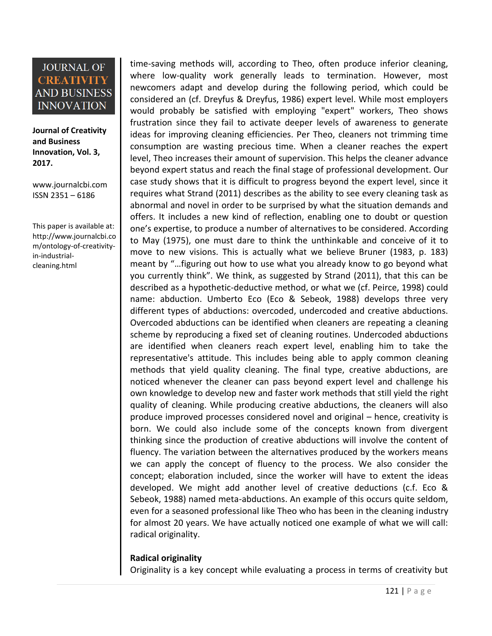**Journal of Creativity and Business Innovation, Vol. 3, 2017.**

[www.journalcbi.com](http://www.journalcbi.com/) ISSN 2351 – 6186

This paper is available at: [http://www.journalcbi.co](http://www.journalcbi.com/ideation-using-analogies.html) [m/ontology-of-creativity](http://www.journalcbi.com/ideation-using-analogies.html)[in-industrial](http://www.journalcbi.com/ideation-using-analogies.html)[cleaning.html](http://www.journalcbi.com/ideation-using-analogies.html)

time-saving methods will, according to Theo, often produce inferior cleaning, where low-quality work generally leads to termination. However, most newcomers adapt and develop during the following period, which could be considered an (cf. Dreyfus & Dreyfus, 1986) expert level. While most employers would probably be satisfied with employing "expert" workers, Theo shows frustration since they fail to activate deeper levels of awareness to generate ideas for improving cleaning efficiencies. Per Theo, cleaners not trimming time consumption are wasting precious time. When a cleaner reaches the expert level, Theo increases their amount of supervision. This helps the cleaner advance beyond expert status and reach the final stage of professional development. Our case study shows that it is difficult to progress beyond the expert level, since it requires what Strand (2011) describes as the ability to see every cleaning task as abnormal and novel in order to be surprised by what the situation demands and offers. It includes a new kind of reflection, enabling one to doubt or question one's expertise, to produce a number of alternatives to be considered. According to May (1975), one must dare to think the unthinkable and conceive of it to move to new visions. This is actually what we believe Bruner (1983, p. 183) meant by "…figuring out how to use what you already know to go beyond what you currently think". We think, as suggested by Strand (2011), that this can be described as a hypothetic-deductive method, or what we (cf. Peirce, 1998) could name: abduction. Umberto Eco (Eco & Sebeok, 1988) develops three very different types of abductions: overcoded, undercoded and creative abductions. Overcoded abductions can be identified when cleaners are repeating a cleaning scheme by reproducing a fixed set of cleaning routines. Undercoded abductions are identified when cleaners reach expert level, enabling him to take the representative's attitude. This includes being able to apply common cleaning methods that yield quality cleaning. The final type, creative abductions, are noticed whenever the cleaner can pass beyond expert level and challenge his own knowledge to develop new and faster work methods that still yield the right quality of cleaning. While producing creative abductions, the cleaners will also produce improved processes considered novel and original – hence, creativity is born. We could also include some of the concepts known from divergent thinking since the production of creative abductions will involve the content of fluency. The variation between the alternatives produced by the workers means we can apply the concept of fluency to the process. We also consider the concept; elaboration included, since the worker will have to extent the ideas developed. We might add another level of creative deductions (c.f. Eco & Sebeok, 1988) named meta-abductions. An example of this occurs quite seldom, even for a seasoned professional like Theo who has been in the cleaning industry for almost 20 years. We have actually noticed one example of what we will call: radical originality.

#### **Radical originality**

Originality is a key concept while evaluating a process in terms of creativity but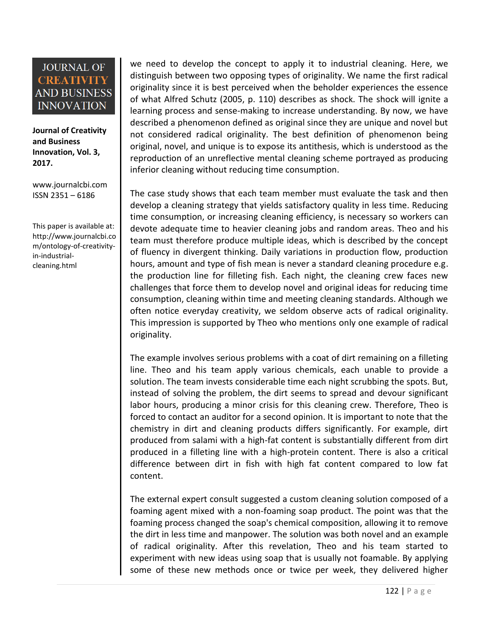**Journal of Creativity and Business Innovation, Vol. 3, 2017.**

[www.journalcbi.com](http://www.journalcbi.com/) ISSN 2351 – 6186

This paper is available at: [http://www.journalcbi.co](http://www.journalcbi.com/ideation-using-analogies.html) [m/ontology-of-creativity](http://www.journalcbi.com/ideation-using-analogies.html)[in-industrial](http://www.journalcbi.com/ideation-using-analogies.html)[cleaning.html](http://www.journalcbi.com/ideation-using-analogies.html)

we need to develop the concept to apply it to industrial cleaning. Here, we distinguish between two opposing types of originality. We name the first radical originality since it is best perceived when the beholder experiences the essence of what Alfred Schutz (2005, p. 110) describes as shock. The shock will ignite a learning process and sense-making to increase understanding. By now, we have described a phenomenon defined as original since they are unique and novel but not considered radical originality. The best definition of phenomenon being original, novel, and unique is to expose its antithesis, which is understood as the reproduction of an unreflective mental cleaning scheme portrayed as producing inferior cleaning without reducing time consumption.

The case study shows that each team member must evaluate the task and then develop a cleaning strategy that yields satisfactory quality in less time. Reducing time consumption, or increasing cleaning efficiency, is necessary so workers can devote adequate time to heavier cleaning jobs and random areas. Theo and his team must therefore produce multiple ideas, which is described by the concept of fluency in divergent thinking. Daily variations in production flow, production hours, amount and type of fish mean is never a standard cleaning procedure e.g. the production line for filleting fish. Each night, the cleaning crew faces new challenges that force them to develop novel and original ideas for reducing time consumption, cleaning within time and meeting cleaning standards. Although we often notice everyday creativity, we seldom observe acts of radical originality. This impression is supported by Theo who mentions only one example of radical originality.

The example involves serious problems with a coat of dirt remaining on a filleting line. Theo and his team apply various chemicals, each unable to provide a solution. The team invests considerable time each night scrubbing the spots. But, instead of solving the problem, the dirt seems to spread and devour significant labor hours, producing a minor crisis for this cleaning crew. Therefore, Theo is forced to contact an auditor for a second opinion. It is important to note that the chemistry in dirt and cleaning products differs significantly. For example, dirt produced from salami with a high-fat content is substantially different from dirt produced in a filleting line with a high-protein content. There is also a critical difference between dirt in fish with high fat content compared to low fat content.

The external expert consult suggested a custom cleaning solution composed of a foaming agent mixed with a non-foaming soap product. The point was that the foaming process changed the soap's chemical composition, allowing it to remove the dirt in less time and manpower. The solution was both novel and an example of radical originality. After this revelation, Theo and his team started to experiment with new ideas using soap that is usually not foamable. By applying some of these new methods once or twice per week, they delivered higher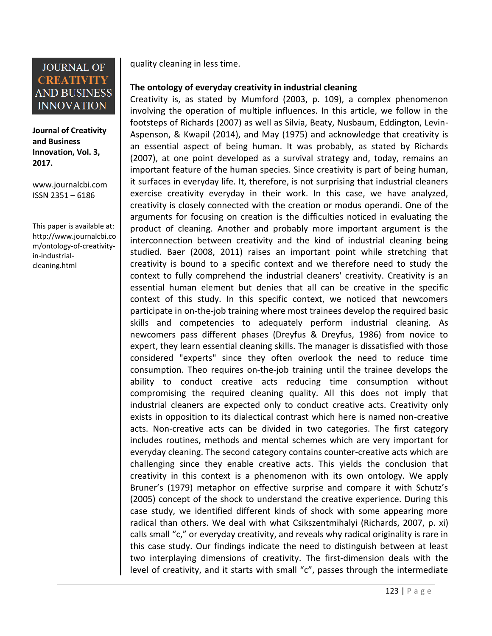

**Journal of Creativity and Business Innovation, Vol. 3, 2017.**

[www.journalcbi.com](http://www.journalcbi.com/) ISSN 2351 – 6186

This paper is available at: [http://www.journalcbi.co](http://www.journalcbi.com/ideation-using-analogies.html) [m/ontology-of-creativity](http://www.journalcbi.com/ideation-using-analogies.html)[in-industrial](http://www.journalcbi.com/ideation-using-analogies.html)[cleaning.html](http://www.journalcbi.com/ideation-using-analogies.html)

quality cleaning in less time.

### **The ontology of everyday creativity in industrial cleaning**

Creativity is, as stated by Mumford (2003, p. 109), a complex phenomenon involving the operation of multiple influences. In this article, we follow in the footsteps of Richards (2007) as well as Silvia, Beaty, Nusbaum, Eddington, Levin-Aspenson, & Kwapil (2014), and May (1975) and acknowledge that creativity is an essential aspect of being human. It was probably, as stated by Richards (2007), at one point developed as a survival strategy and, today, remains an important feature of the human species. Since creativity is part of being human, it surfaces in everyday life. It, therefore, is not surprising that industrial cleaners exercise creativity everyday in their work. In this case, we have analyzed, creativity is closely connected with the creation or modus operandi. One of the arguments for focusing on creation is the difficulties noticed in evaluating the product of cleaning. Another and probably more important argument is the interconnection between creativity and the kind of industrial cleaning being studied. Baer (2008, 2011) raises an important point while stretching that creativity is bound to a specific context and we therefore need to study the context to fully comprehend the industrial cleaners' creativity. Creativity is an essential human element but denies that all can be creative in the specific context of this study. In this specific context, we noticed that newcomers participate in on-the-job training where most trainees develop the required basic skills and competencies to adequately perform industrial cleaning. As newcomers pass different phases (Dreyfus & Dreyfus, 1986) from novice to expert, they learn essential cleaning skills. The manager is dissatisfied with those considered "experts" since they often overlook the need to reduce time consumption. Theo requires on-the-job training until the trainee develops the ability to conduct creative acts reducing time consumption without compromising the required cleaning quality. All this does not imply that industrial cleaners are expected only to conduct creative acts. Creativity only exists in opposition to its dialectical contrast which here is named non-creative acts. Non-creative acts can be divided in two categories. The first category includes routines, methods and mental schemes which are very important for everyday cleaning. The second category contains counter-creative acts which are challenging since they enable creative acts. This yields the conclusion that creativity in this context is a phenomenon with its own ontology. We apply Bruner's (1979) metaphor on effective surprise and compare it with Schutz's (2005) concept of the shock to understand the creative experience. During this case study, we identified different kinds of shock with some appearing more radical than others. We deal with what Csikszentmihalyi (Richards, 2007, p. xi) calls small "c," or everyday creativity, and reveals why radical originality is rare in this case study. Our findings indicate the need to distinguish between at least two interplaying dimensions of creativity. The first-dimension deals with the level of creativity, and it starts with small "c", passes through the intermediate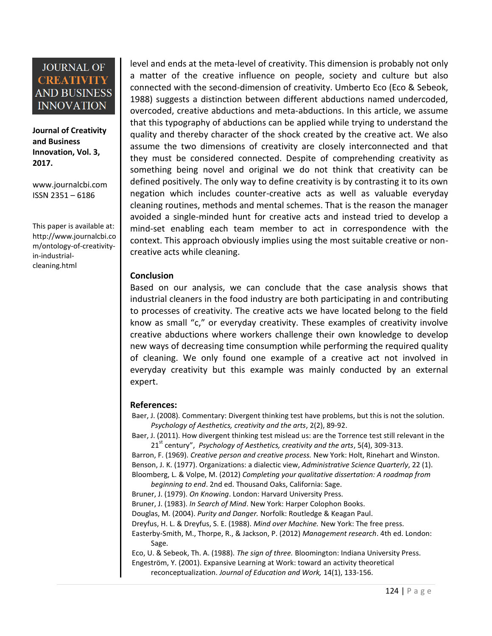**Journal of Creativity and Business Innovation, Vol. 3, 2017.**

[www.journalcbi.com](http://www.journalcbi.com/) ISSN 2351 – 6186

This paper is available at: [http://www.journalcbi.co](http://www.journalcbi.com/ideation-using-analogies.html) [m/ontology-of-creativity](http://www.journalcbi.com/ideation-using-analogies.html)[in-industrial](http://www.journalcbi.com/ideation-using-analogies.html)[cleaning.html](http://www.journalcbi.com/ideation-using-analogies.html)

level and ends at the meta-level of creativity. This dimension is probably not only a matter of the creative influence on people, society and culture but also connected with the second-dimension of creativity. Umberto Eco (Eco & Sebeok, 1988) suggests a distinction between different abductions named undercoded, overcoded, creative abductions and meta-abductions. In this article, we assume that this typography of abductions can be applied while trying to understand the quality and thereby character of the shock created by the creative act. We also assume the two dimensions of creativity are closely interconnected and that they must be considered connected. Despite of comprehending creativity as something being novel and original we do not think that creativity can be defined positively. The only way to define creativity is by contrasting it to its own negation which includes counter-creative acts as well as valuable everyday cleaning routines, methods and mental schemes. That is the reason the manager avoided a single-minded hunt for creative acts and instead tried to develop a mind-set enabling each team member to act in correspondence with the context. This approach obviously implies using the most suitable creative or noncreative acts while cleaning.

#### **Conclusion**

Based on our analysis, we can conclude that the case analysis shows that industrial cleaners in the food industry are both participating in and contributing to processes of creativity. The creative acts we have located belong to the field know as small "c," or everyday creativity. These examples of creativity involve creative abductions where workers challenge their own knowledge to develop new ways of decreasing time consumption while performing the required quality of cleaning. We only found one example of a creative act not involved in everyday creativity but this example was mainly conducted by an external expert.

#### **References:**

Baer, J. (2008). Commentary: Divergent thinking test have problems, but this is not the solution. *Psychology of Aesthetics, creativity and the arts*, 2(2), 89-92.

Baer, J. (2011). How divergent thinking test mislead us: are the Torrence test still relevant in the 21st century", *Psychology of Aesthetics, creativity and the arts*, 5(4), 309-313.

Barron, F. (1969). *Creative person and creative process.* New York: Holt, Rinehart and Winston. Benson, J. K. (1977). Organizations: a dialectic view, *Administrative Science Quarterly*, 22 (1). Bloomberg, L. & Volpe, M. (2012) *Completing your qualitative dissertation: A roadmap from* 

*beginning to end*. 2nd ed. Thousand Oaks, California: Sage.

Bruner, J. (1979). *On Knowing*. London: Harvard University Press.

Bruner, J. (1983). *In Search of Mind*. New York: Harper Colophon Books.

Douglas, M. (2004). *Purity and Danger.* Norfolk: Routledge & Keagan Paul.

Dreyfus, H. L. & Dreyfus, S. E. (1988). *Mind over Machine.* New York: The free press.

Easterby-Smith, M., Thorpe, R., & Jackson, P. (2012) *Management research*. 4th ed. London: Sage.

Eco, U. & Sebeok, Th. A. (1988). *The sign of three.* Bloomington: Indiana University Press. Engeström, Y. (2001). Expansive Learning at Work: toward an activity theoretical reconceptualization. *Journal of Education and Work,* 14(1), 133-156.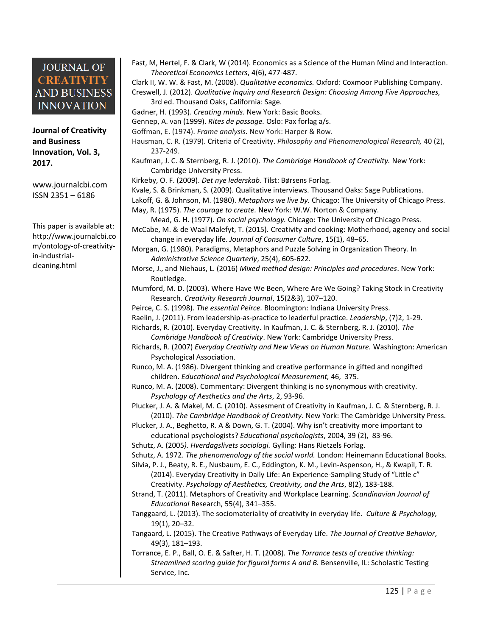**Journal of Creativity and Business Innovation, Vol. 3, 2017.**

[www.journalcbi.com](http://www.journalcbi.com/) ISSN 2351 – 6186

This paper is available at: [http://www.journalcbi.co](http://www.journalcbi.com/ideation-using-analogies.html) [m/ontology-of-creativity](http://www.journalcbi.com/ideation-using-analogies.html)[in-industrial](http://www.journalcbi.com/ideation-using-analogies.html)[cleaning.html](http://www.journalcbi.com/ideation-using-analogies.html)

Fast, M, Hertel, F. & Clark, W (2014). Economics as a Science of the Human Mind and Interaction. *Theoretical Economics Letters*, 4(6), 477-487.

Clark II, W. W. & Fast, M. (2008). *Qualitative economics.* Oxford: Coxmoor Publishing Company. Creswell, J. (2012). *Qualitative Inquiry and Research Design: Choosing Among Five Approaches,* 

3rd ed. Thousand Oaks, California: Sage.

Gadner, H. (1993). *Creating minds.* New York: Basic Books.

Gennep, A. van (1999). *Rites de passage.* Oslo: Pax forlag a/s.

- Goffman, E. (1974). *Frame analysis*. New York: Harper & Row.
- Hausman, C. R. (1979). Criteria of Creativity. *Philosophy and Phenomenological Research,* 40 (2), 237-249.
- Kaufman, J. C. & Sternberg, R. J. (2010). *The Cambridge Handbook of Creativity.* New York: Cambridge University Press.
- Kirkeby, O. F. (2009). *Det nye lederskab*. Tilst: Børsens Forlag.

Kvale, S. & Brinkman, S. (2009). Qualitative interviews. Thousand Oaks: Sage Publications.

Lakoff, G. & Johnson, M. (1980). *Metaphors we live by.* Chicago: The University of Chicago Press. May, R. (1975). *The courage to create.* New York: W.W. Norton & Company.

Mead, G. H. (1977). *On social psychology.* Chicago: The University of Chicago Press.

- McCabe, M. & de Waal Malefyt, T. (2015). Creativity and cooking: Motherhood, agency and social change in everyday life. *Journal of Consumer Culture*, 15(1), 48–65.
- Morgan, G. (1980). Paradigms, Metaphors and Puzzle Solving in Organization Theory. In *Administrative Science Quarterly*, 25(4), 605-622.
- Morse, J., and Niehaus, L. (2016) *Mixed method design: Principles and procedures*. New York: Routledge.
- Mumford, M. D. (2003). Where Have We Been, Where Are We Going? Taking Stock in Creativity Research. *Creativity Research Journal*, 15(2&3), 107–120.
- Peirce, C. S. (1998). *The essential Peirce.* Bloomington: Indiana University Press.
- Raelin, J. (2011). From leadership-as-practice to leaderful practice. *Leadership*, (7)2, 1-29.
- Richards, R. (2010). Everyday Creativity. In Kaufman, J. C. & Sternberg, R. J. (2010). *The Cambridge Handbook of Creativity*. New York: Cambridge University Press.
- Richards, R. (2007) *Everyday Creativity and New Views on Human Nature.* Washington: American Psychological Association.
- Runco, M. A. (1986). Divergent thinking and creative performance in gifted and nongifted children. *Educational and Psychological Measurement,* 46, 375.
- Runco, M. A. (2008). Commentary: Divergent thinking is no synonymous with creativity. *Psychology of Aesthetics and the Arts*, 2, 93-96.

Plucker, J. A. & Makel, M. C. (2010). Assesment of Creativity in Kaufman, J. C. & Sternberg, R. J. (2010). *The Cambridge Handbook of Creativity.* New York: The Cambridge University Press.

- Plucker, J. A., Beghetto, R. A & Down, G. T. (2004). Why isn't creativity more important to educational psychologists? *Educational psychologists*, 2004, 39 (2), 83-96.
- Schutz, A. (2005*). Hverdagslivets sociologi.* Gylling: Hans Rietzels Forlag.

Schutz, A. 1972. *The phenomenology of the social world.* London: Heinemann Educational Books.

Silvia, P. J., Beaty, R. E., Nusbaum, E. C., Eddington, K. M., Levin-Aspenson, H., & Kwapil, T. R. (2014). Everyday Creativity in Daily Life: An Experience-Sampling Study of "Little c" Creativity. *Psychology of Aesthetics, Creativity, and the Arts*, 8(2), 183-188.

Strand, T. (2011). Metaphors of Creativity and Workplace Learning. *Scandinavian Journal of Educational* Research, 55(4), 341–355.

Tanggaard, L. (2013). The sociomateriality of creativity in everyday life. *Culture & Psychology,* 19(1), 20–32.

Tangaard, L. (2015). The Creative Pathways of Everyday Life. *The Journal of Creative Behavior*, 49(3), 181–193.

Torrance, E. P., Ball, O. E. & Safter, H. T. (2008). *The Torrance tests of creative thinking: Streamlined scoring guide for figural forms A and B.* Bensenville, IL: Scholastic Testing Service, Inc.